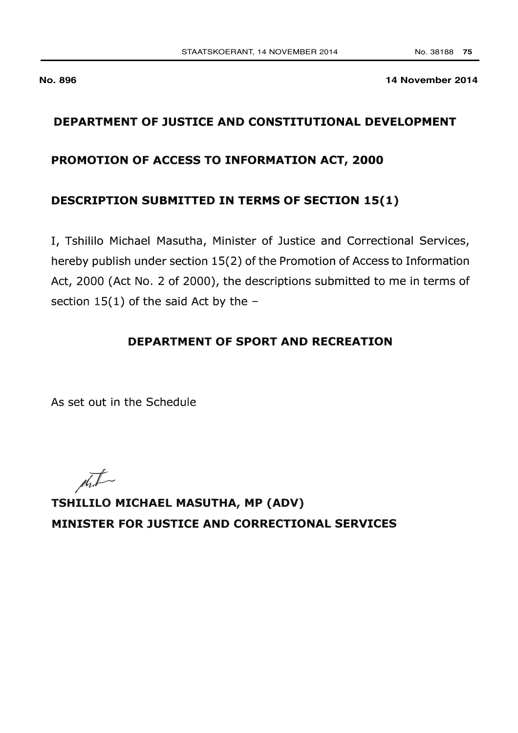**No. 896** 

14 November 2014

## DEPARTMENT OF JUSTICE AND CONSTITUTIONAL DEVELOPMENT

#### PROMOTION OF ACCESS TO INFORMATION ACT, 2000

#### **DESCRIPTION SUBMITTED IN TERMS OF SECTION 15(1)**

I, Tshililo Michael Masutha, Minister of Justice and Correctional Services, hereby publish under section 15(2) of the Promotion of Access to Information Act, 2000 (Act No. 2 of 2000), the descriptions submitted to me in terms of section  $15(1)$  of the said Act by the -

### **DEPARTMENT OF SPORT AND RECREATION**

As set out in the Schedule

 $\sqrt{1-\frac{1}{2}}$ 

TSHILILO MICHAEL MASUTHA, MP (ADV) MINISTER FOR JUSTICE AND CORRECTIONAL SERVICES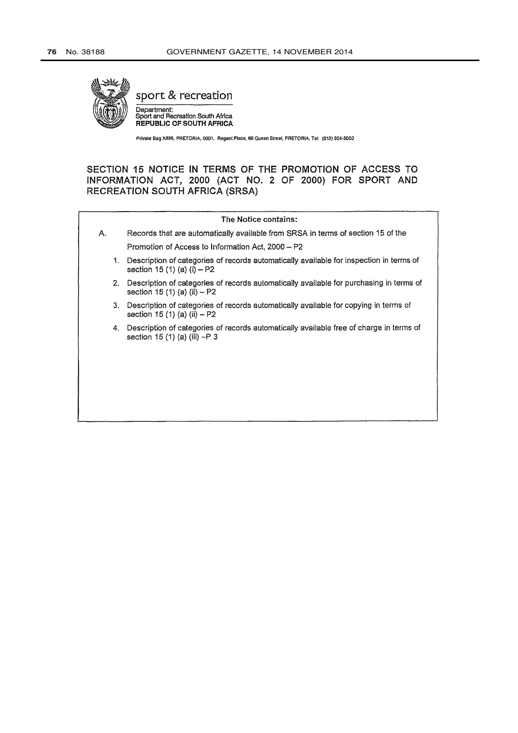

sport & recreation

Department:<br>Sport and Recreation South Africa REPUBLIC OF SOUTH AFRICA

Private Bag X896, PRETORIA, 0001. Regent Place, 66 Queen Street, PRETORIA, Tel (012) 304-5000

SECTION 15 NOTICE IN TERMS OF THE PROMOTION OF ACCESS TO INFORMATION ACT, 2000 (ACT NO. 2 OF 2000) FOR SPORT AND **RECREATION SOUTH AFRICA (SRSA)** 

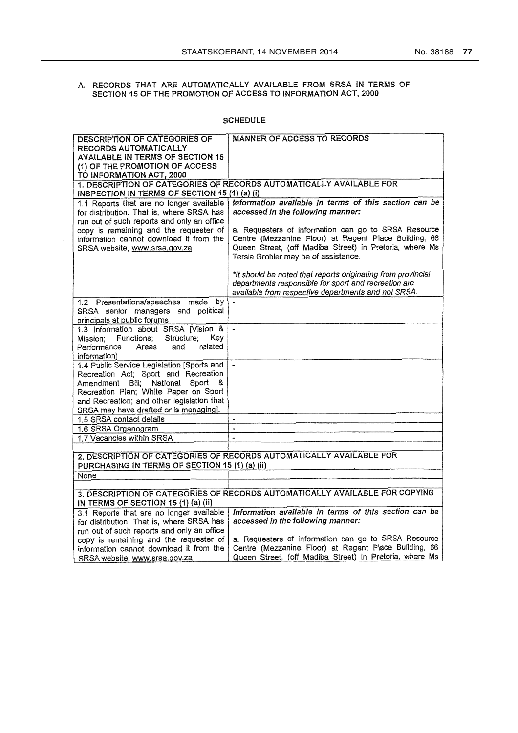# A. RECORDS THAT ARE AUTOMATICALLY AVAILABLE FROM SRSA IN TERMS OF SECTION 15 OF THE PROMOTION OF ACCESS TO INFORMATION ACT, 2000

#### **SCHEDULE**

| <b>DESCRIPTION OF CATEGORIES OF</b>                                                | <b>MANNER OF ACCESS TO RECORDS</b>                                                                            |  |
|------------------------------------------------------------------------------------|---------------------------------------------------------------------------------------------------------------|--|
| RECORDS AUTOMATICALLY                                                              |                                                                                                               |  |
| AVAILABLE IN TERMS OF SECTION 15                                                   |                                                                                                               |  |
| (1) OF THE PROMOTION OF ACCESS                                                     |                                                                                                               |  |
| TO INFORMATION ACT, 2000                                                           |                                                                                                               |  |
| 1. DESCRIPTION OF CATEGORIES OF RECORDS AUTOMATICALLY AVAILABLE FOR                |                                                                                                               |  |
| INSPECTION IN TERMS OF SECTION 15 (1) (a) (i)                                      |                                                                                                               |  |
| 1.1 Reports that are no longer available                                           | Information available in terms of this section can be                                                         |  |
| for distribution. That is, where SRSA has                                          | accessed in the following manner:                                                                             |  |
| run out of such reports and only an office                                         |                                                                                                               |  |
| copy is remaining and the requester of<br>information cannot download it from the  | a. Requesters of information can go to SRSA Resource<br>Centre (Mezzanine Floor) at Regent Place Building, 66 |  |
| SRSA website, www.srsa.gov.za                                                      | Queen Street, (off Madiba Street) in Pretoria, where Ms                                                       |  |
|                                                                                    | Tersia Grobler may be of assistance.                                                                          |  |
|                                                                                    |                                                                                                               |  |
|                                                                                    | *It should be noted that reports originating from provincial                                                  |  |
|                                                                                    | departments responsible for sport and recreation are                                                          |  |
|                                                                                    | available from respective departments and not SRSA.                                                           |  |
| 1.2 Presentations/speeches made by                                                 |                                                                                                               |  |
| SRSA senior managers and political                                                 |                                                                                                               |  |
| principals at public forums                                                        |                                                                                                               |  |
| 1.3 Information about SRSA [Vision &                                               | $\overline{\phantom{a}}$                                                                                      |  |
| Key<br>Functions;<br>Structure;<br>Mission:                                        |                                                                                                               |  |
| related<br>Performance<br>Areas<br>and                                             |                                                                                                               |  |
| information]                                                                       |                                                                                                               |  |
| 1.4 Public Service Legislation [Sports and<br>Recreation Act; Sport and Recreation |                                                                                                               |  |
| Amendment Bill; National<br>Sport                                                  |                                                                                                               |  |
| Recreation Plan; White Paper on Sport                                              |                                                                                                               |  |
| and Recreation; and other legislation that                                         |                                                                                                               |  |
| SRSA may have drafted or is managing].                                             |                                                                                                               |  |
| 1.5 SRSA contact details                                                           |                                                                                                               |  |
| 1.6 SRSA Organogram                                                                |                                                                                                               |  |
| 1.7 Vacancies within SRSA                                                          | $\overline{a}$                                                                                                |  |
|                                                                                    |                                                                                                               |  |
| 2. DESCRIPTION OF CATEGORIES OF RECORDS AUTOMATICALLY AVAILABLE FOR                |                                                                                                               |  |
| PURCHASING IN TERMS OF SECTION 15 (1) (a) (ii)                                     |                                                                                                               |  |
| None                                                                               |                                                                                                               |  |
|                                                                                    |                                                                                                               |  |
|                                                                                    | 3. DESCRIPTION OF CATEGORIES OF RECORDS AUTOMATICALLY AVAILABLE FOR COPYING                                   |  |
| IN TERMS OF SECTION 15 (1) (a) (ii)                                                |                                                                                                               |  |
| 3.1 Reports that are no longer available                                           | Information available in terms of this section can be                                                         |  |
| for distribution. That is, where SRSA has                                          | accessed in the following manner:                                                                             |  |
| run out of such reports and only an office                                         |                                                                                                               |  |
| copy is remaining and the requester of                                             | a. Requesters of information can go to SRSA Resource                                                          |  |
| information cannot download it from the                                            | Centre (Mezzanine Floor) at Regent Place Building, 66                                                         |  |
| SRSA website, www.srsa.gov.za                                                      | Queen Street, (off Madiba Street) in Pretoria, where Ms                                                       |  |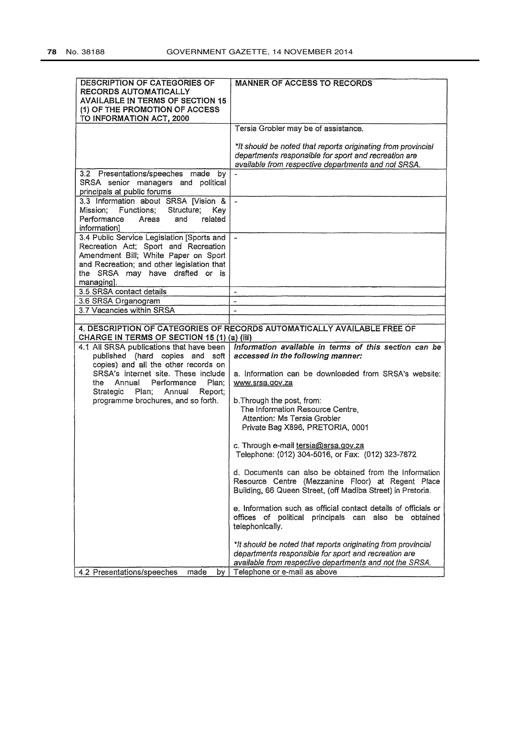| <b>DESCRIPTION OF CATEGORIES OF</b><br>RECORDS AUTOMATICALLY                 | <b>MANNER OF ACCESS TO RECORDS</b>                                                                          |
|------------------------------------------------------------------------------|-------------------------------------------------------------------------------------------------------------|
| <b>AVAILABLE IN TERMS OF SECTION 15</b>                                      |                                                                                                             |
| (1) OF THE PROMOTION OF ACCESS                                               |                                                                                                             |
| TO INFORMATION ACT, 2000                                                     |                                                                                                             |
|                                                                              | Tersia Grobler may be of assistance.                                                                        |
|                                                                              | *It should be noted that reports originating from provincial                                                |
|                                                                              | departments responsible for sport and recreation are                                                        |
|                                                                              | available from respective departments and not SRSA.                                                         |
| 3.2 Presentations/speeches made by<br>SRSA senior managers and political     |                                                                                                             |
| principals at public forums                                                  |                                                                                                             |
| 3.3 Information about SRSA [Vision &                                         | $\tilde{\phantom{a}}$                                                                                       |
| Mission; Functions; Structure;<br>Key                                        |                                                                                                             |
| related<br>Performance<br>Areas<br>and                                       |                                                                                                             |
| information]                                                                 |                                                                                                             |
| 3.4 Public Service Legislation [Sports and                                   | $\blacksquare$                                                                                              |
| Recreation Act; Sport and Recreation<br>Amendment Bill; White Paper on Sport |                                                                                                             |
| and Recreation; and other legislation that                                   |                                                                                                             |
| the SRSA may have drafted or is                                              |                                                                                                             |
| managing].                                                                   |                                                                                                             |
| 3.5 SRSA contact details                                                     | $\blacksquare$                                                                                              |
| 3.6 SRSA Organogram                                                          | $\overline{\phantom{a}}$                                                                                    |
| 3.7 Vacancies within SRSA                                                    | $\sim$                                                                                                      |
|                                                                              |                                                                                                             |
|                                                                              |                                                                                                             |
|                                                                              | 4, DESCRIPTION OF CATEGORIES OF RECORDS AUTOMATICALLY AVAILABLE FREE OF                                     |
| CHARGE IN TERMS OF SECTION 15 (1) (a) (iii)                                  |                                                                                                             |
| 4.1 All SRSA publications that have been<br>published (hard copies and soft  | Information available in terms of this section can be<br>accessed in the following manner:                  |
| copies) and all the other records on                                         |                                                                                                             |
| SRSA's internet site. These include                                          | a. Information can be downloaded from SRSA's website:                                                       |
| Annual<br>Performance<br>Plan:<br>the                                        | www.srsa.gov.za                                                                                             |
| Strategic<br>Plan:<br>Annual<br>Report;                                      |                                                                                                             |
| programme brochures, and so forth.                                           | b. Through the post, from:                                                                                  |
|                                                                              | The Information Resource Centre,<br>Attention: Ms Tersia Grobler                                            |
|                                                                              | Private Bag X896, PRETORIA, 0001                                                                            |
|                                                                              |                                                                                                             |
|                                                                              | c. Through e-mail tersia@srsa.gov.za                                                                        |
|                                                                              | Telephone: (012) 304-5016, or Fax: (012) 323-7872                                                           |
|                                                                              |                                                                                                             |
|                                                                              | d. Documents can also be obtained from the Information<br>Resource Centre (Mezzanine Floor) at Regent Place |
|                                                                              | Building, 66 Queen Street, (off Madiba Street) in Pretoria.                                                 |
|                                                                              |                                                                                                             |
|                                                                              | e. Information such as official contact details of officials or                                             |
|                                                                              | offices of political principals can also be obtained                                                        |
|                                                                              | telephonically.                                                                                             |
|                                                                              | *It should be noted that reports originating from provincial                                                |
|                                                                              | departments responsible for sport and recreation are                                                        |
| 4.2 Presentations/speeches<br>made                                           | available from respective departments and not the SRSA.<br>Telephone or e-mail as above                     |